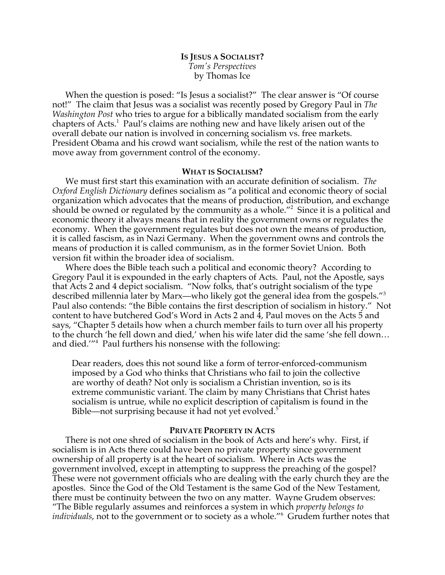# **IS JESUS A SOCIALIST?** *Tom's Perspectives* by Thomas Ice

When the question is posed: "Is Jesus a socialist?" The clear answer is "Of course not!" The claim that Jesus was a socialist was recently posed by Gregory Paul in *The Washington Post* who tries to argue for a biblically mandated socialism from the early chapters of Acts.<sup>1</sup> Paul's claims are nothing new and have likely arisen out of the overall debate our nation is involved in concerning socialism vs. free markets. President Obama and his crowd want socialism, while the rest of the nation wants to move away from government control of the economy.

## **WHAT IS SOCIALISM?**

We must first start this examination with an accurate definition of socialism. *The Oxford English Dictionary* defines socialism as "a political and economic theory of social organization which advocates that the means of production, distribution, and exchange should be owned or regulated by the community as a whole. $^{\prime\prime}$  Since it is a political and economic theory it always means that in reality the government owns or regulates the economy. When the government regulates but does not own the means of production, it is called fascism, as in Nazi Germany. When the government owns and controls the means of production it is called communism, as in the former Soviet Union. Both version fit within the broader idea of socialism.

Where does the Bible teach such a political and economic theory? According to Gregory Paul it is expounded in the early chapters of Acts. Paul, not the Apostle, says that Acts 2 and 4 depict socialism. "Now folks, that's outright socialism of the type described millennia later by Marx—who likely got the general idea from the gospels."<sup>3</sup> Paul also contends: "the Bible contains the first description of socialism in history." Not content to have butchered God's Word in Acts 2 and 4, Paul moves on the Acts 5 and says, "Chapter 5 details how when a church member fails to turn over all his property to the church 'he fell down and died,' when his wife later did the same 'she fell down… and died.'"4 Paul furthers his nonsense with the following:

Dear readers, does this not sound like a form of terror-enforced-communism imposed by a God who thinks that Christians who fail to join the collective are worthy of death? Not only is socialism a Christian invention, so is its extreme communistic variant. The claim by many Christians that Christ hates socialism is untrue, while no explicit description of capitalism is found in the Bible—not surprising because it had not yet evolved.<sup>5</sup>

## **PRIVATE PROPERTY IN ACTS**

There is not one shred of socialism in the book of Acts and here's why. First, if socialism is in Acts there could have been no private property since government ownership of all property is at the heart of socialism. Where in Acts was the government involved, except in attempting to suppress the preaching of the gospel? These were not government officials who are dealing with the early church they are the apostles. Since the God of the Old Testament is the same God of the New Testament, there must be continuity between the two on any matter. Wayne Grudem observes: "The Bible regularly assumes and reinforces a system in which *property belongs to individuals*, not to the government or to society as a whole."<sup>6</sup> Grudem further notes that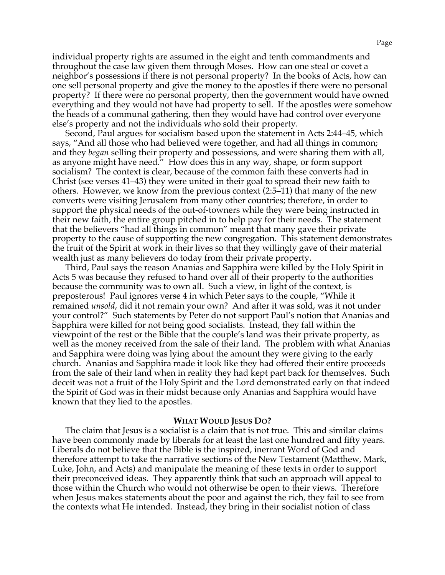individual property rights are assumed in the eight and tenth commandments and throughout the case law given them through Moses. How can one steal or covet a neighbor's possessions if there is not personal property? In the books of Acts, how can one sell personal property and give the money to the apostles if there were no personal property? If there were no personal property, then the government would have owned everything and they would not have had property to sell. If the apostles were somehow the heads of a communal gathering, then they would have had control over everyone else's property and not the individuals who sold their property.

Second, Paul argues for socialism based upon the statement in Acts 2:44–45, which says, "And all those who had believed were together, and had all things in common; and they *began* selling their property and possessions, and were sharing them with all, as anyone might have need." How does this in any way, shape, or form support socialism? The context is clear, because of the common faith these converts had in Christ (see verses 41–43) they were united in their goal to spread their new faith to others. However, we know from the previous context (2:5–11) that many of the new converts were visiting Jerusalem from many other countries; therefore, in order to support the physical needs of the out-of-towners while they were being instructed in their new faith, the entire group pitched in to help pay for their needs. The statement that the believers "had all things in common" meant that many gave their private property to the cause of supporting the new congregation. This statement demonstrates the fruit of the Spirit at work in their lives so that they willingly gave of their material wealth just as many believers do today from their private property.

Third, Paul says the reason Ananias and Sapphira were killed by the Holy Spirit in Acts 5 was because they refused to hand over all of their property to the authorities because the community was to own all. Such a view, in light of the context, is preposterous! Paul ignores verse 4 in which Peter says to the couple, "While it remained *unsold*, did it not remain your own? And after it was sold, was it not under your control?" Such statements by Peter do not support Paul's notion that Ananias and Sapphira were killed for not being good socialists. Instead, they fall within the viewpoint of the rest or the Bible that the couple's land was their private property, as well as the money received from the sale of their land. The problem with what Ananias and Sapphira were doing was lying about the amount they were giving to the early church. Ananias and Sapphira made it look like they had offered their entire proceeds from the sale of their land when in reality they had kept part back for themselves. Such deceit was not a fruit of the Holy Spirit and the Lord demonstrated early on that indeed the Spirit of God was in their midst because only Ananias and Sapphira would have known that they lied to the apostles.

### **WHAT WOULD JESUS DO?**

The claim that Jesus is a socialist is a claim that is not true. This and similar claims have been commonly made by liberals for at least the last one hundred and fifty years. Liberals do not believe that the Bible is the inspired, inerrant Word of God and therefore attempt to take the narrative sections of the New Testament (Matthew, Mark, Luke, John, and Acts) and manipulate the meaning of these texts in order to support their preconceived ideas. They apparently think that such an approach will appeal to those within the Church who would not otherwise be open to their views. Therefore when Jesus makes statements about the poor and against the rich, they fail to see from the contexts what He intended. Instead, they bring in their socialist notion of class